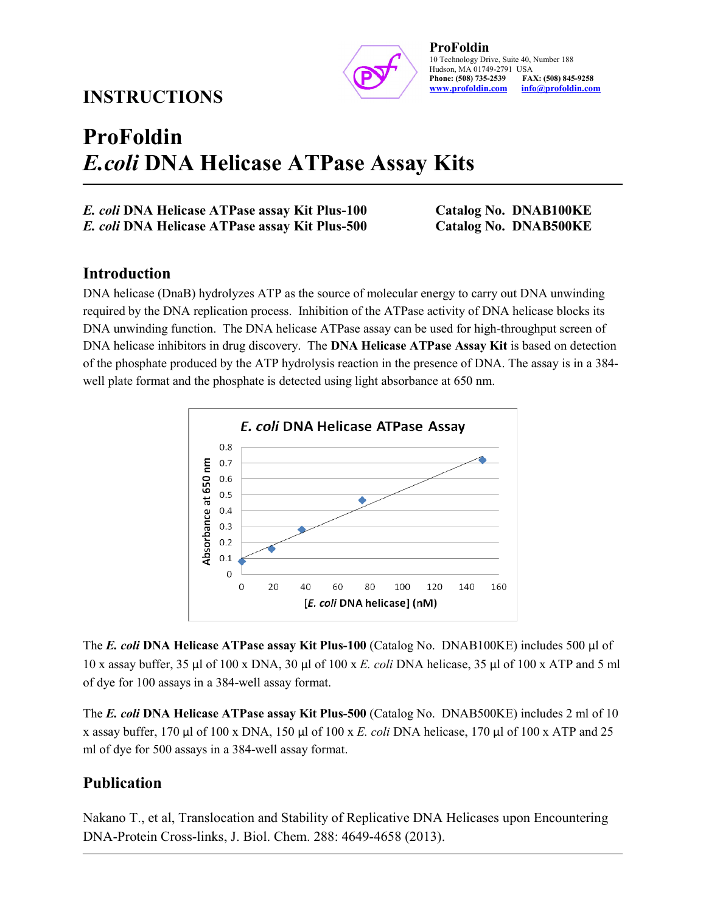## INSTRUCTIONS



ProFoldin 10 Technology Drive, Suite 40, Number 188 Hudson, MA 01749-2791 USA<br>Phone: (508) 735-2539 FAX: (508) 845-9258 Phone: (508) 735-2539 www.profoldin.com info@profoldin.com

# ProFoldin E.coli DNA Helicase ATPase Assay Kits

E. coli DNA Helicase ATPase assay Kit Plus-100 Catalog No. DNAB100KE E. coli DNA Helicase ATPase assay Kit Plus-500 Catalog No. DNAB500KE

## Introduction

DNA helicase (DnaB) hydrolyzes ATP as the source of molecular energy to carry out DNA unwinding required by the DNA replication process. Inhibition of the ATPase activity of DNA helicase blocks its DNA unwinding function. The DNA helicase ATPase assay can be used for high-throughput screen of DNA helicase inhibitors in drug discovery. The **DNA Helicase ATPase Assay Kit** is based on detection of the phosphate produced by the ATP hydrolysis reaction in the presence of DNA. The assay is in a 384 well plate format and the phosphate is detected using light absorbance at 650 nm.



The E. coli DNA Helicase ATPase assay Kit Plus-100 (Catalog No. DNAB100KE) includes 500  $\mu$ l of 10 x assay buffer, 35 µl of 100 x DNA, 30 µl of 100 x E. coli DNA helicase, 35 µl of 100 x ATP and 5 ml of dye for 100 assays in a 384-well assay format.

The E. coli DNA Helicase ATPase assay Kit Plus-500 (Catalog No. DNAB500KE) includes 2 ml of 10 x assay buffer, 170 µl of 100 x DNA, 150 µl of 100 x E. coli DNA helicase, 170 µl of 100 x ATP and 25 ml of dye for 500 assays in a 384-well assay format.

## Publication

Nakano T., et al, Translocation and Stability of Replicative DNA Helicases upon Encountering DNA-Protein Cross-links, J. Biol. Chem. 288: 4649-4658 (2013).